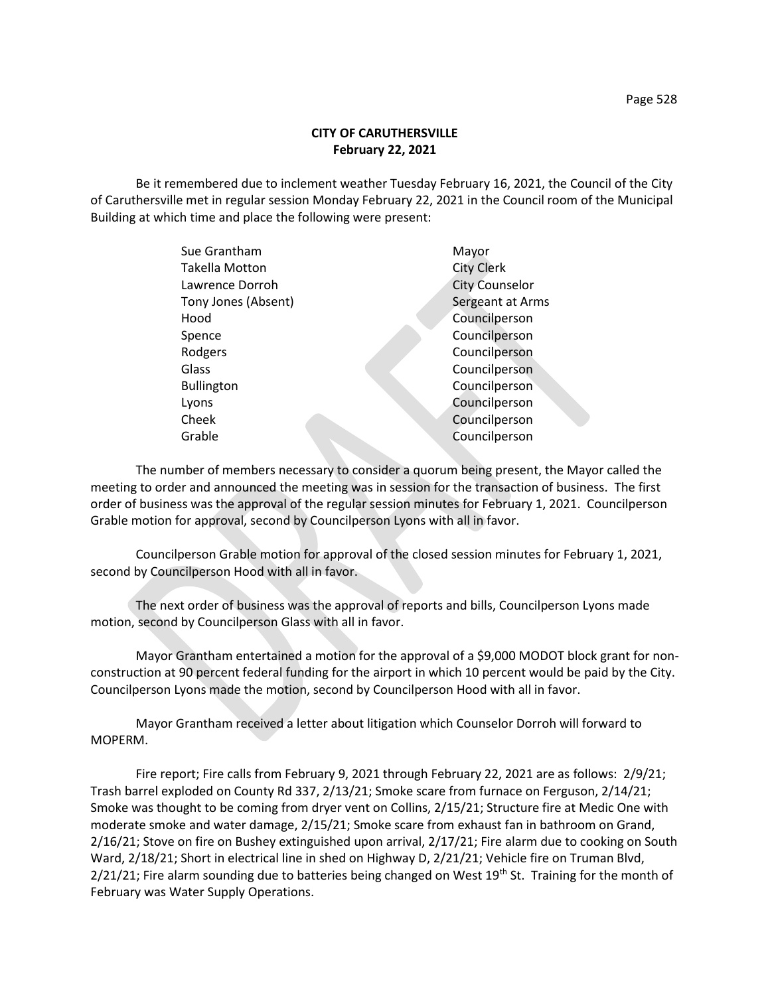## **CITY OF CARUTHERSVILLE February 22, 2021**

Be it remembered due to inclement weather Tuesday February 16, 2021, the Council of the City of Caruthersville met in regular session Monday February 22, 2021 in the Council room of the Municipal Building at which time and place the following were present:

| Sue Grantham        | Mayor                 |
|---------------------|-----------------------|
| Takella Motton      | <b>City Clerk</b>     |
| Lawrence Dorroh     | <b>City Counselor</b> |
| Tony Jones (Absent) | Sergeant at Arms      |
| Hood                | Councilperson         |
| Spence              | Councilperson         |
| Rodgers             | Councilperson         |
| Glass               | Councilperson         |
| <b>Bullington</b>   | Councilperson         |
| Lyons               | Councilperson         |
| Cheek               | Councilperson         |
| Grable              | Councilperson         |
|                     |                       |

The number of members necessary to consider a quorum being present, the Mayor called the meeting to order and announced the meeting was in session for the transaction of business. The first order of business was the approval of the regular session minutes for February 1, 2021. Councilperson Grable motion for approval, second by Councilperson Lyons with all in favor.

Councilperson Grable motion for approval of the closed session minutes for February 1, 2021, second by Councilperson Hood with all in favor.

The next order of business was the approval of reports and bills, Councilperson Lyons made motion, second by Councilperson Glass with all in favor.

Mayor Grantham entertained a motion for the approval of a \$9,000 MODOT block grant for nonconstruction at 90 percent federal funding for the airport in which 10 percent would be paid by the City. Councilperson Lyons made the motion, second by Councilperson Hood with all in favor.

Mayor Grantham received a letter about litigation which Counselor Dorroh will forward to MOPERM.

Fire report; Fire calls from February 9, 2021 through February 22, 2021 are as follows: 2/9/21; Trash barrel exploded on County Rd 337, 2/13/21; Smoke scare from furnace on Ferguson, 2/14/21; Smoke was thought to be coming from dryer vent on Collins, 2/15/21; Structure fire at Medic One with moderate smoke and water damage, 2/15/21; Smoke scare from exhaust fan in bathroom on Grand, 2/16/21; Stove on fire on Bushey extinguished upon arrival, 2/17/21; Fire alarm due to cooking on South Ward, 2/18/21; Short in electrical line in shed on Highway D, 2/21/21; Vehicle fire on Truman Blvd, 2/21/21; Fire alarm sounding due to batteries being changed on West 19<sup>th</sup> St. Training for the month of February was Water Supply Operations.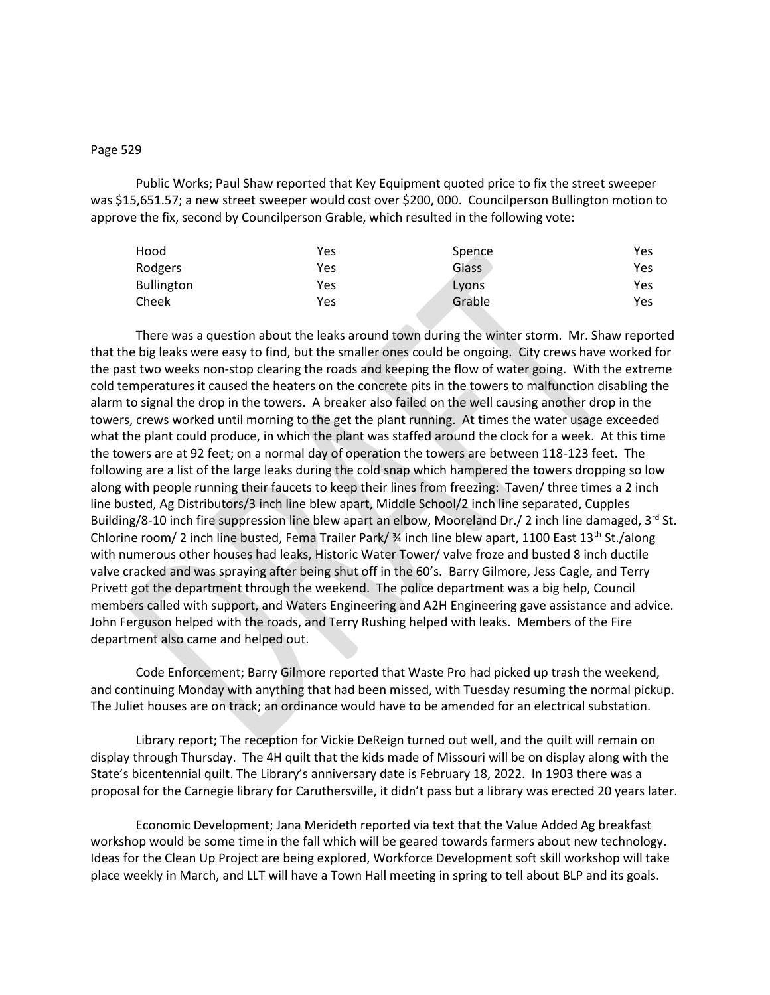## Page 529

Public Works; Paul Shaw reported that Key Equipment quoted price to fix the street sweeper was \$15,651.57; a new street sweeper would cost over \$200, 000. Councilperson Bullington motion to approve the fix, second by Councilperson Grable, which resulted in the following vote:

| Hood              | Yes | Spence | Yes |
|-------------------|-----|--------|-----|
| Rodgers           | Yes | Glass  | Yes |
| <b>Bullington</b> | Yes | Lyons  | Yes |
| Cheek             | Yes | Grable | Yes |

There was a question about the leaks around town during the winter storm. Mr. Shaw reported that the big leaks were easy to find, but the smaller ones could be ongoing. City crews have worked for the past two weeks non-stop clearing the roads and keeping the flow of water going. With the extreme cold temperatures it caused the heaters on the concrete pits in the towers to malfunction disabling the alarm to signal the drop in the towers. A breaker also failed on the well causing another drop in the towers, crews worked until morning to the get the plant running. At times the water usage exceeded what the plant could produce, in which the plant was staffed around the clock for a week. At this time the towers are at 92 feet; on a normal day of operation the towers are between 118-123 feet. The following are a list of the large leaks during the cold snap which hampered the towers dropping so low along with people running their faucets to keep their lines from freezing: Taven/ three times a 2 inch line busted, Ag Distributors/3 inch line blew apart, Middle School/2 inch line separated, Cupples Building/8-10 inch fire suppression line blew apart an elbow, Mooreland Dr./ 2 inch line damaged,  $3^{rd}$  St. Chlorine room/ 2 inch line busted, Fema Trailer Park/  $\frac{3}{4}$  inch line blew apart, 1100 East 13<sup>th</sup> St./along with numerous other houses had leaks, Historic Water Tower/ valve froze and busted 8 inch ductile valve cracked and was spraying after being shut off in the 60's. Barry Gilmore, Jess Cagle, and Terry Privett got the department through the weekend. The police department was a big help, Council members called with support, and Waters Engineering and A2H Engineering gave assistance and advice. John Ferguson helped with the roads, and Terry Rushing helped with leaks. Members of the Fire department also came and helped out.

Code Enforcement; Barry Gilmore reported that Waste Pro had picked up trash the weekend, and continuing Monday with anything that had been missed, with Tuesday resuming the normal pickup. The Juliet houses are on track; an ordinance would have to be amended for an electrical substation.

Library report; The reception for Vickie DeReign turned out well, and the quilt will remain on display through Thursday. The 4H quilt that the kids made of Missouri will be on display along with the State's bicentennial quilt. The Library's anniversary date is February 18, 2022. In 1903 there was a proposal for the Carnegie library for Caruthersville, it didn't pass but a library was erected 20 years later.

Economic Development; Jana Merideth reported via text that the Value Added Ag breakfast workshop would be some time in the fall which will be geared towards farmers about new technology. Ideas for the Clean Up Project are being explored, Workforce Development soft skill workshop will take place weekly in March, and LLT will have a Town Hall meeting in spring to tell about BLP and its goals.